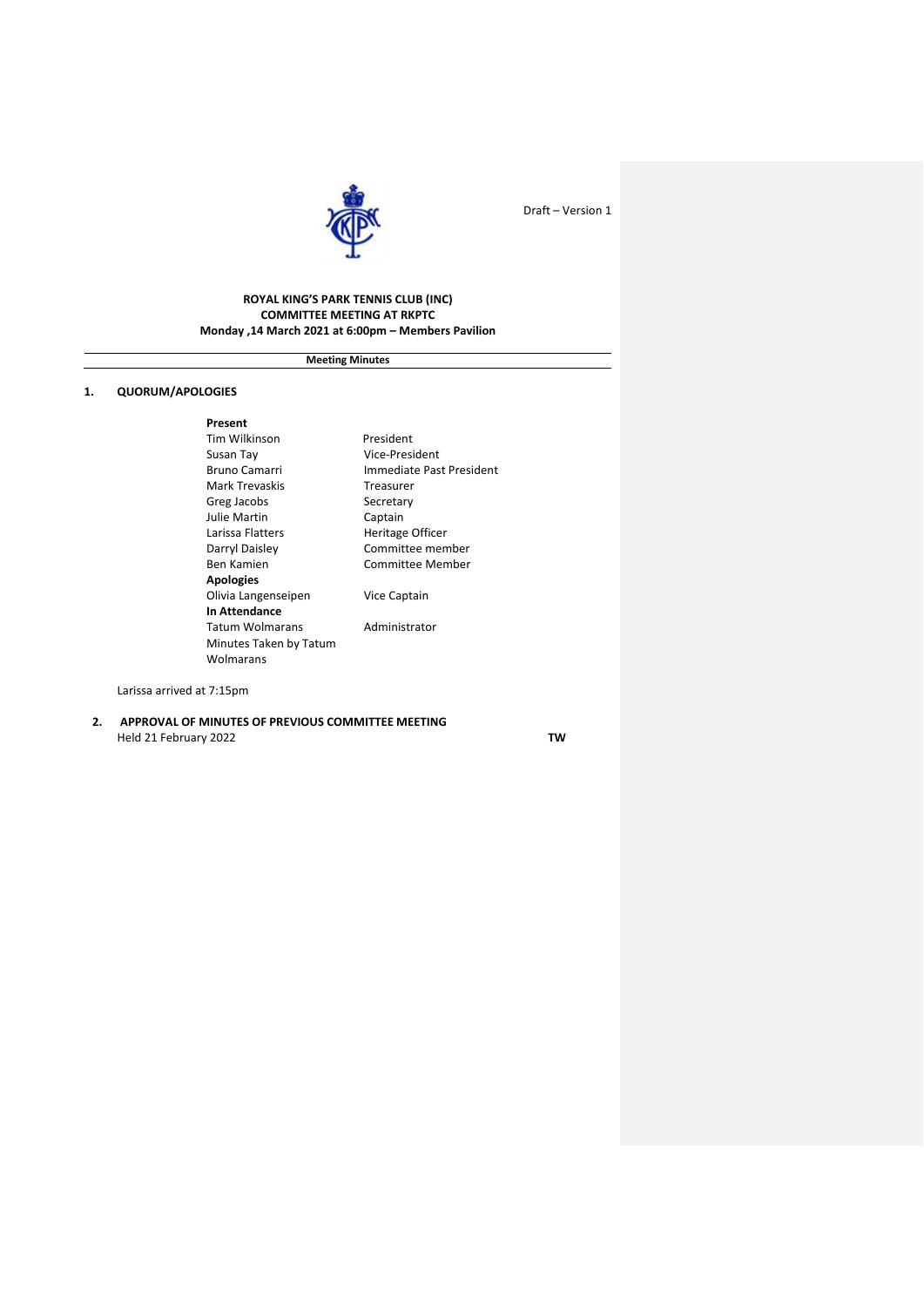

## **ROYAL KING'S PARK TENNIS CLUB (INC) COMMITTEE MEETING AT RKPTC Monday ,14 March 2021 at 6:00pm – Members Pavilion**

**Meeting Minutes**

## **1. QUORUM/APOLOGIES**

**Present**  Tim Wilkinson President Mark Trevaskis<br>Greg Jacobs Secretary Greg Jacobs Julie Martin Captain Larissa Flatters **Heritage Officer** Darryl Daisley **Committee member** Ben Kamien Committee Member **Apologies** Olivia Langenseipen Vice Captain **In Attendance** Tatum Wolmarans **Administrator** Minutes Taken by Tatum Wolmarans

Vice-President Bruno Camarri **Immediate Past President** 

Larissa arrived at 7:15pm

**2. APPROVAL OF MINUTES OF PREVIOUS COMMITTEE MEETING** Held 21 February 2022 **TW**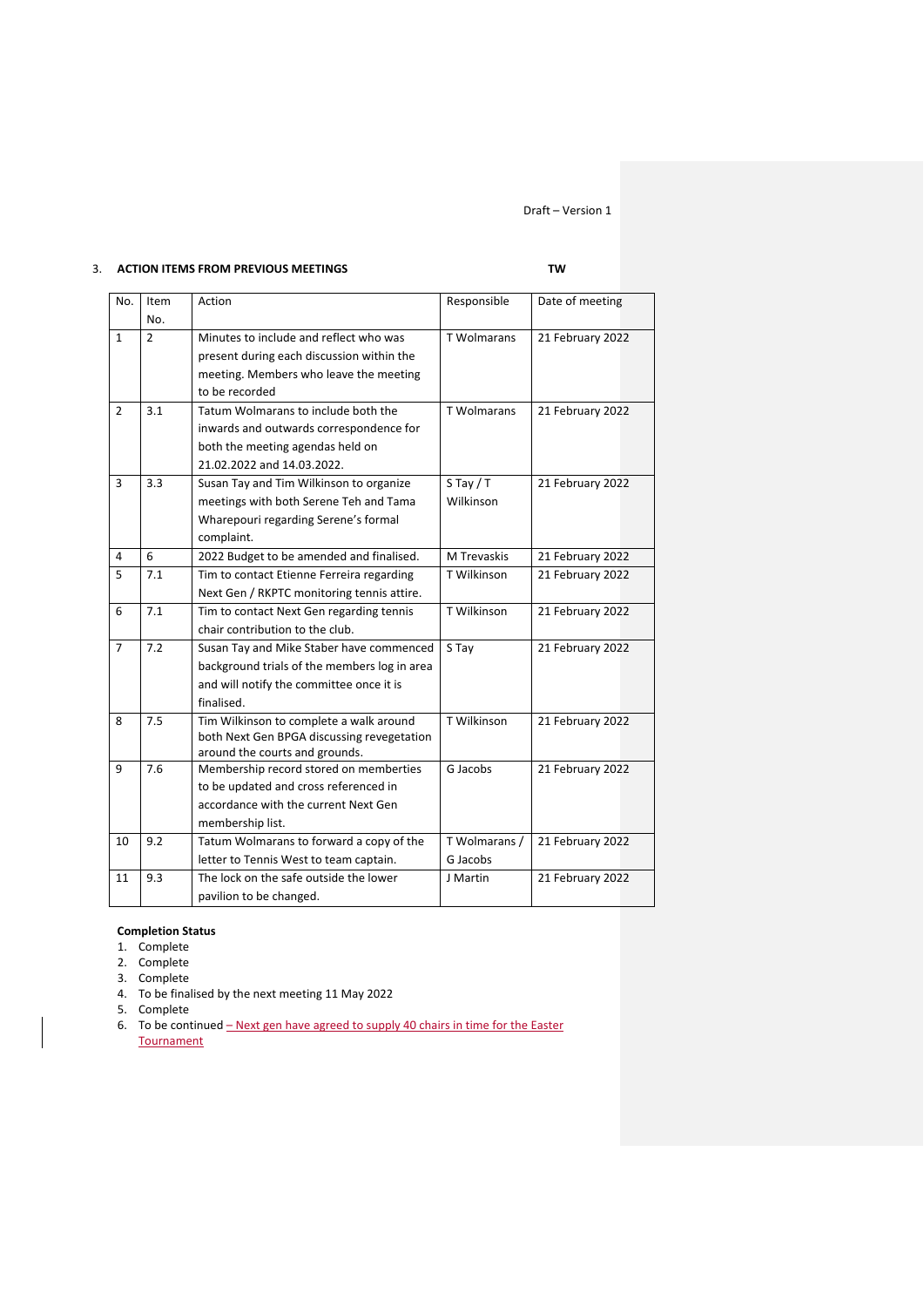# 3. **ACTION ITEMS FROM PREVIOUS MEETINGS TW**

| No.            | Item | Action                                                                   | Responsible        | Date of meeting  |
|----------------|------|--------------------------------------------------------------------------|--------------------|------------------|
|                | No.  |                                                                          |                    |                  |
| $\mathbf{1}$   | 2    | Minutes to include and reflect who was                                   | <b>T</b> Wolmarans | 21 February 2022 |
|                |      | present during each discussion within the                                |                    |                  |
|                |      | meeting. Members who leave the meeting                                   |                    |                  |
|                |      | to be recorded                                                           |                    |                  |
| 2              | 3.1  | Tatum Wolmarans to include both the                                      | <b>T</b> Wolmarans | 21 February 2022 |
|                |      | inwards and outwards correspondence for                                  |                    |                  |
|                |      | both the meeting agendas held on                                         |                    |                  |
|                |      | 21.02.2022 and 14.03.2022.                                               |                    |                  |
| 3              | 3.3  | Susan Tay and Tim Wilkinson to organize                                  | $S$ Tay / T        | 21 February 2022 |
|                |      | meetings with both Serene Teh and Tama                                   | Wilkinson          |                  |
|                |      | Wharepouri regarding Serene's formal                                     |                    |                  |
|                |      | complaint.                                                               |                    |                  |
| 4              | 6    | 2022 Budget to be amended and finalised.                                 | M Trevaskis        | 21 February 2022 |
| 5              | 7.1  | Tim to contact Etienne Ferreira regarding                                | T Wilkinson        | 21 February 2022 |
|                |      | Next Gen / RKPTC monitoring tennis attire.                               |                    |                  |
| 6              | 7.1  | Tim to contact Next Gen regarding tennis                                 | T Wilkinson        | 21 February 2022 |
|                |      | chair contribution to the club.                                          |                    |                  |
| $\overline{7}$ | 7.2  | Susan Tay and Mike Staber have commenced                                 | S Tay              | 21 February 2022 |
|                |      | background trials of the members log in area                             |                    |                  |
|                |      | and will notify the committee once it is                                 |                    |                  |
|                |      | finalised.                                                               |                    |                  |
| 8              | 7.5  | Tim Wilkinson to complete a walk around                                  | T Wilkinson        | 21 February 2022 |
|                |      | both Next Gen BPGA discussing revegetation                               |                    |                  |
| 9              | 7.6  | around the courts and grounds.<br>Membership record stored on memberties | G Jacobs           | 21 February 2022 |
|                |      | to be updated and cross referenced in                                    |                    |                  |
|                |      | accordance with the current Next Gen                                     |                    |                  |
|                |      | membership list.                                                         |                    |                  |
| 10             | 9.2  | Tatum Wolmarans to forward a copy of the                                 | T Wolmarans /      | 21 February 2022 |
|                |      | letter to Tennis West to team captain.                                   | G Jacobs           |                  |
| 11             | 9.3  | The lock on the safe outside the lower                                   | J Martin           | 21 February 2022 |
|                |      |                                                                          |                    |                  |
|                |      | pavilion to be changed.                                                  |                    |                  |

# **Completion Status**

- 1. Complete
- 2. Complete
- 3. Complete
- 4. To be finalised by the next meeting 11 May 2022
- 5. Complete
- 6. To be continued Next gen have agreed to supply 40 chairs in time for the Easter **Tournament**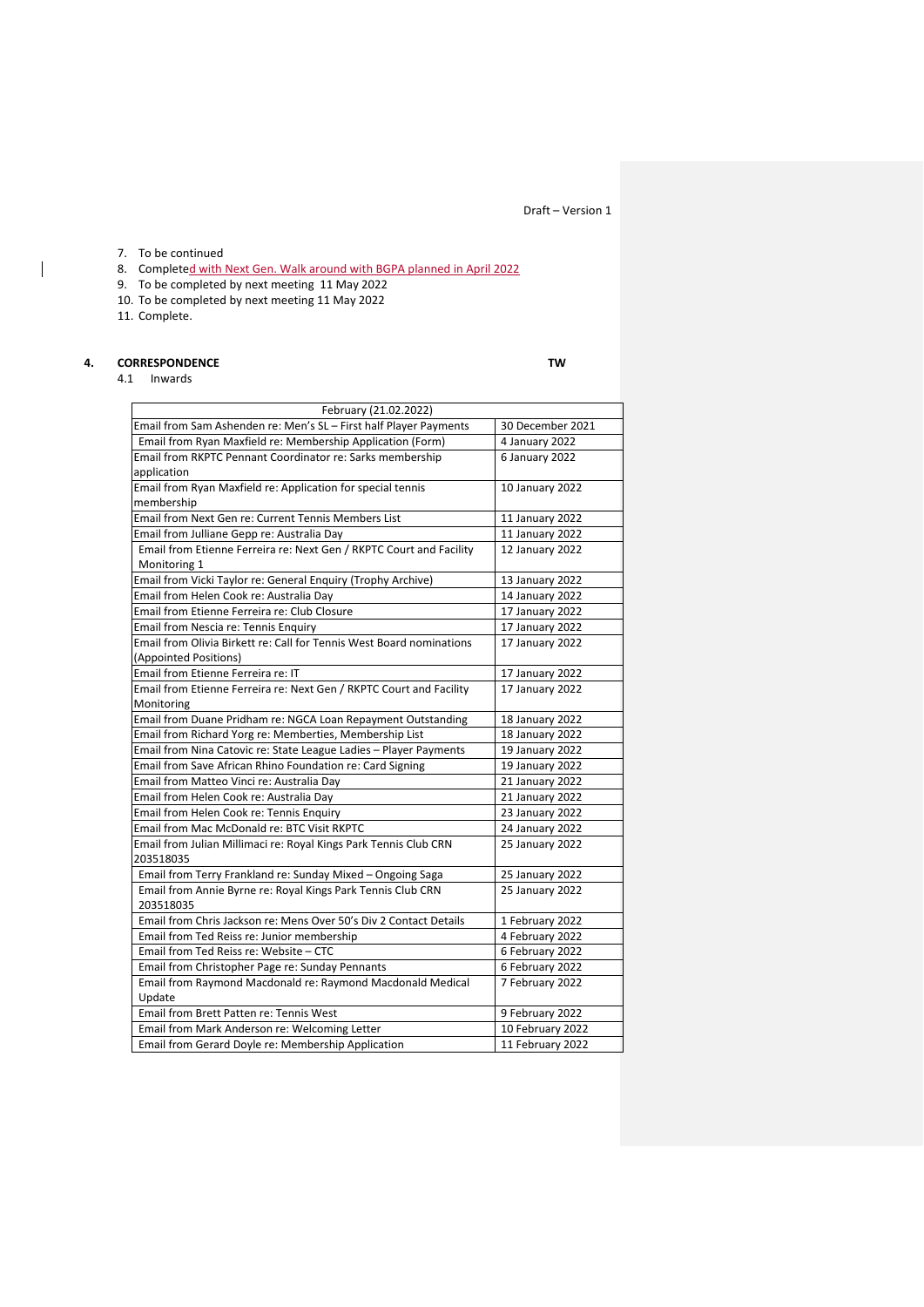## 7. To be continued

8. Completed with Next Gen. Walk around with BGPA planned in April 2022

- 9. To be completed by next meeting 11 May 2022
- 10. To be completed by next meeting 11 May 2022
- 11. Complete.

 $\overline{1}$ 

## **4. CORRESPONDENCE TW**

4.1 Inwards

| February (21.02.2022)                                                |                  |
|----------------------------------------------------------------------|------------------|
| Email from Sam Ashenden re: Men's SL - First half Player Payments    | 30 December 2021 |
| Email from Ryan Maxfield re: Membership Application (Form)           | 4 January 2022   |
| Email from RKPTC Pennant Coordinator re: Sarks membership            | 6 January 2022   |
| application                                                          |                  |
| Email from Ryan Maxfield re: Application for special tennis          | 10 January 2022  |
| membership                                                           |                  |
| <b>Email from Next Gen re: Current Tennis Members List</b>           | 11 January 2022  |
| Email from Julliane Gepp re: Australia Day                           | 11 January 2022  |
| Email from Etienne Ferreira re: Next Gen / RKPTC Court and Facility  | 12 January 2022  |
| Monitoring 1                                                         |                  |
| Email from Vicki Taylor re: General Enquiry (Trophy Archive)         | 13 January 2022  |
| Email from Helen Cook re: Australia Day                              | 14 January 2022  |
| Email from Etienne Ferreira re: Club Closure                         | 17 January 2022  |
| Email from Nescia re: Tennis Enquiry                                 | 17 January 2022  |
| Email from Olivia Birkett re: Call for Tennis West Board nominations | 17 January 2022  |
| (Appointed Positions)                                                |                  |
| Email from Etienne Ferreira re: IT                                   | 17 January 2022  |
| Email from Etienne Ferreira re: Next Gen / RKPTC Court and Facility  | 17 January 2022  |
| Monitoring                                                           |                  |
| Email from Duane Pridham re: NGCA Loan Repayment Outstanding         | 18 January 2022  |
| Email from Richard Yorg re: Memberties, Membership List              | 18 January 2022  |
| Email from Nina Catovic re: State League Ladies - Player Payments    | 19 January 2022  |
| Email from Save African Rhino Foundation re: Card Signing            | 19 January 2022  |
| Email from Matteo Vinci re: Australia Day                            | 21 January 2022  |
| Email from Helen Cook re: Australia Day                              | 21 January 2022  |
| Email from Helen Cook re: Tennis Enquiry                             | 23 January 2022  |
| Email from Mac McDonald re: BTC Visit RKPTC                          | 24 January 2022  |
| Email from Julian Millimaci re: Royal Kings Park Tennis Club CRN     | 25 January 2022  |
| 203518035                                                            |                  |
| Email from Terry Frankland re: Sunday Mixed - Ongoing Saga           | 25 January 2022  |
| Email from Annie Byrne re: Royal Kings Park Tennis Club CRN          | 25 January 2022  |
| 203518035                                                            |                  |
| Email from Chris Jackson re: Mens Over 50's Div 2 Contact Details    | 1 February 2022  |
| Email from Ted Reiss re: Junior membership                           | 4 February 2022  |
| Email from Ted Reiss re: Website - CTC                               | 6 February 2022  |
| Email from Christopher Page re: Sunday Pennants                      | 6 February 2022  |
| Email from Raymond Macdonald re: Raymond Macdonald Medical           | 7 February 2022  |
| Update                                                               |                  |
| Email from Brett Patten re: Tennis West                              | 9 February 2022  |
| Email from Mark Anderson re: Welcoming Letter                        | 10 February 2022 |
| Email from Gerard Doyle re: Membership Application                   | 11 February 2022 |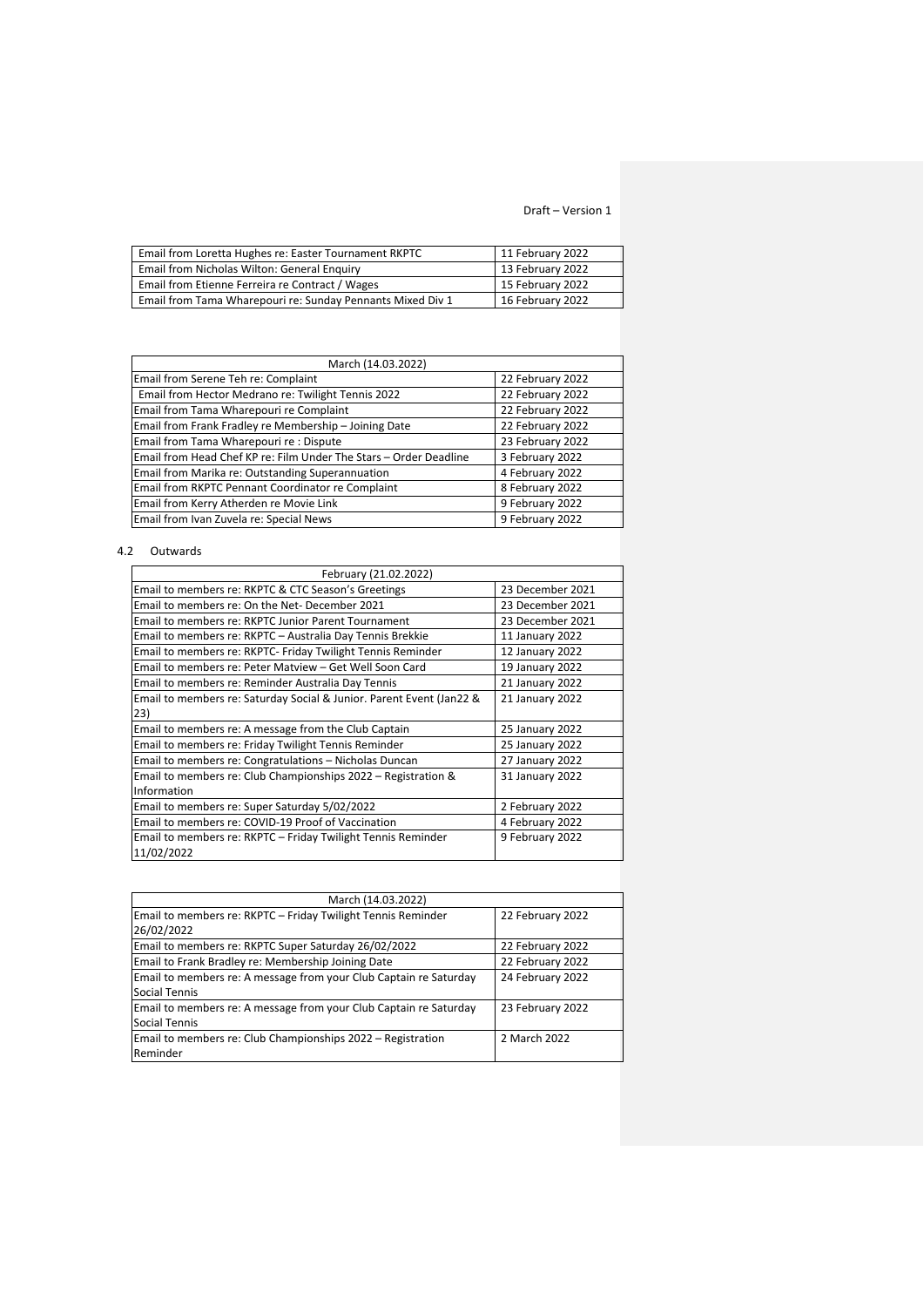| Email from Loretta Hughes re: Easter Tournament RKPTC      | 11 February 2022 |
|------------------------------------------------------------|------------------|
| Email from Nicholas Wilton: General Enguiry                | 13 February 2022 |
| Email from Etienne Ferreira re Contract / Wages            | 15 February 2022 |
| Email from Tama Wharepouri re: Sunday Pennants Mixed Div 1 | 16 February 2022 |

| March (14.03.2022)                                                |                  |  |  |
|-------------------------------------------------------------------|------------------|--|--|
| Email from Serene Teh re: Complaint                               | 22 February 2022 |  |  |
| Email from Hector Medrano re: Twilight Tennis 2022                | 22 February 2022 |  |  |
| Email from Tama Wharepouri re Complaint                           | 22 February 2022 |  |  |
| Email from Frank Fradley re Membership - Joining Date             | 22 February 2022 |  |  |
| Email from Tama Wharepouri re : Dispute                           | 23 February 2022 |  |  |
| Email from Head Chef KP re: Film Under The Stars - Order Deadline | 3 February 2022  |  |  |
| Email from Marika re: Outstanding Superannuation                  | 4 February 2022  |  |  |
| Email from RKPTC Pennant Coordinator re Complaint                 | 8 February 2022  |  |  |
| Email from Kerry Atherden re Movie Link                           | 9 February 2022  |  |  |
| Email from Ivan Zuvela re: Special News                           | 9 February 2022  |  |  |

# 4.2 Outwards

| February (21.02.2022)                                                |                  |  |  |
|----------------------------------------------------------------------|------------------|--|--|
| Email to members re: RKPTC & CTC Season's Greetings                  | 23 December 2021 |  |  |
| Email to members re: On the Net-December 2021                        | 23 December 2021 |  |  |
| Email to members re: RKPTC Junior Parent Tournament                  | 23 December 2021 |  |  |
| Email to members re: RKPTC - Australia Day Tennis Brekkie            | 11 January 2022  |  |  |
| Email to members re: RKPTC- Friday Twilight Tennis Reminder          | 12 January 2022  |  |  |
| Email to members re: Peter Matview - Get Well Soon Card              | 19 January 2022  |  |  |
| Email to members re: Reminder Australia Day Tennis                   | 21 January 2022  |  |  |
| Email to members re: Saturday Social & Junior. Parent Event (Jan22 & | 21 January 2022  |  |  |
| 23)                                                                  |                  |  |  |
| Email to members re: A message from the Club Captain                 | 25 January 2022  |  |  |
| Email to members re: Friday Twilight Tennis Reminder                 | 25 January 2022  |  |  |
| Email to members re: Congratulations - Nicholas Duncan               | 27 January 2022  |  |  |
| Email to members re: Club Championships 2022 – Registration &        | 31 January 2022  |  |  |
| Information                                                          |                  |  |  |
| Email to members re: Super Saturday 5/02/2022                        | 2 February 2022  |  |  |
| Email to members re: COVID-19 Proof of Vaccination                   | 4 February 2022  |  |  |
| Email to members re: RKPTC - Friday Twilight Tennis Reminder         | 9 February 2022  |  |  |
| 11/02/2022                                                           |                  |  |  |

| March (14.03.2022)                                                |                  |  |  |
|-------------------------------------------------------------------|------------------|--|--|
| Email to members re: RKPTC - Friday Twilight Tennis Reminder      | 22 February 2022 |  |  |
| 26/02/2022                                                        |                  |  |  |
| Email to members re: RKPTC Super Saturday 26/02/2022              | 22 February 2022 |  |  |
| Email to Frank Bradley re: Membership Joining Date                | 22 February 2022 |  |  |
| Email to members re: A message from your Club Captain re Saturday | 24 February 2022 |  |  |
| Social Tennis                                                     |                  |  |  |
| Email to members re: A message from your Club Captain re Saturday | 23 February 2022 |  |  |
| Social Tennis                                                     |                  |  |  |
| Email to members re: Club Championships 2022 – Registration       | 2 March 2022     |  |  |
| Reminder                                                          |                  |  |  |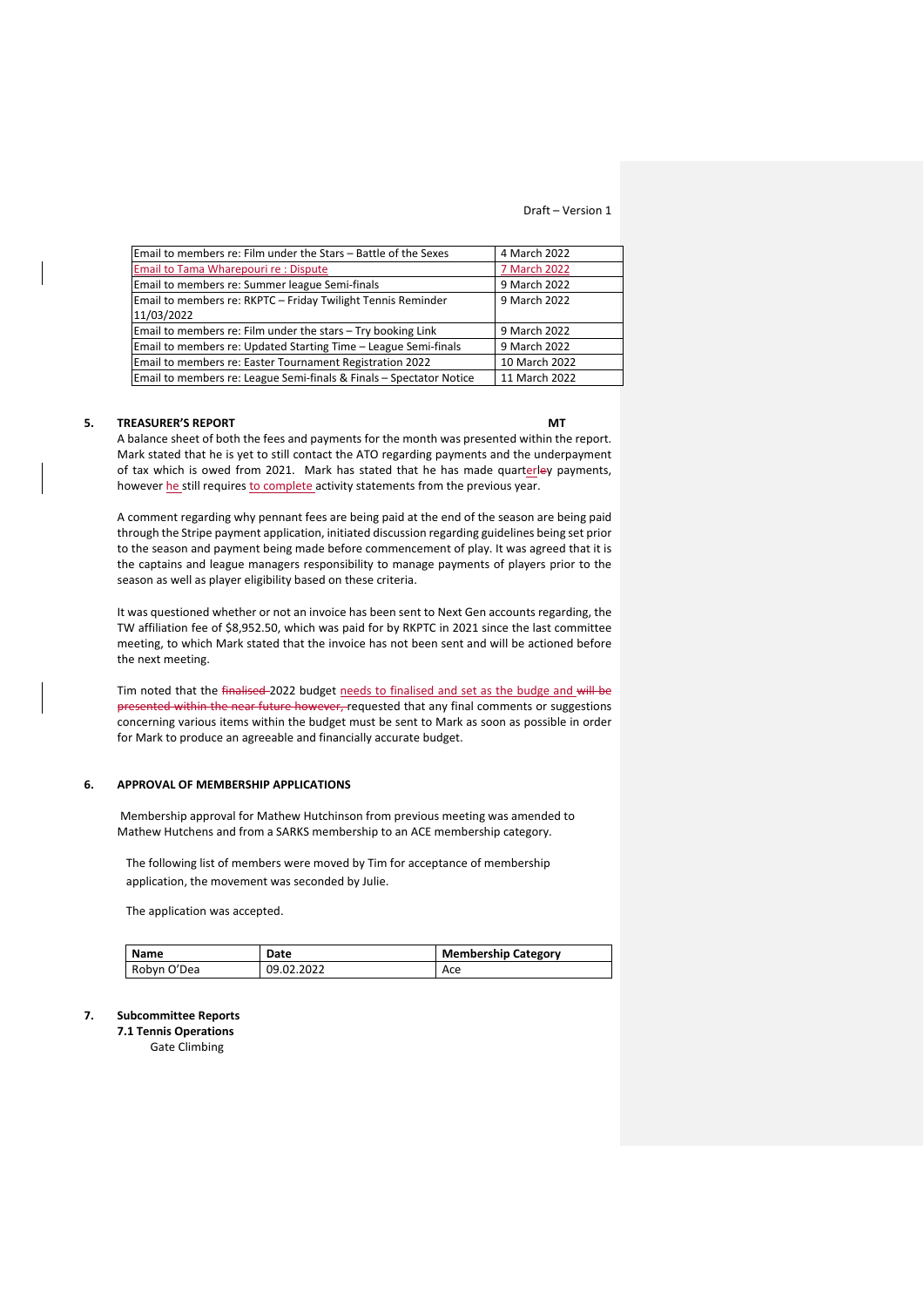| Email to members re: Film under the Stars – Battle of the Sexes     | 4 March 2022  |
|---------------------------------------------------------------------|---------------|
| Email to Tama Wharepouri re : Dispute                               | 7 March 2022  |
| Email to members re: Summer league Semi-finals                      | 9 March 2022  |
| Email to members re: RKPTC - Friday Twilight Tennis Reminder        | 9 March 2022  |
| 11/03/2022                                                          |               |
| Email to members re: Film under the stars - Try booking Link        | 9 March 2022  |
| Email to members re: Updated Starting Time - League Semi-finals     | 9 March 2022  |
| Email to members re: Easter Tournament Registration 2022            | 10 March 2022 |
| Email to members re: League Semi-finals & Finals - Spectator Notice | 11 March 2022 |

## **5. TREASURER'S REPORT MT**

A balance sheet of both the fees and payments for the month was presented within the report. Mark stated that he is yet to still contact the ATO regarding payments and the underpayment of tax which is owed from 2021. Mark has stated that he has made quarterley payments, however he still requires to complete activity statements from the previous year.

A comment regarding why pennant fees are being paid at the end of the season are being paid through the Stripe payment application, initiated discussion regarding guidelines being set prior to the season and payment being made before commencement of play. It was agreed that it is the captains and league managers responsibility to manage payments of players prior to the season as well as player eligibility based on these criteria.

It was questioned whether or not an invoice has been sent to Next Gen accounts regarding, the TW affiliation fee of \$8,952.50, which was paid for by RKPTC in 2021 since the last committee meeting, to which Mark stated that the invoice has not been sent and will be actioned before the next meeting.

Tim noted that the finalised-2022 budget needs to finalised and set as the budge and will be presented within the near future however, requested that any final comments or suggestions concerning various items within the budget must be sent to Mark as soon as possible in order for Mark to produce an agreeable and financially accurate budget.

## **6. APPROVAL OF MEMBERSHIP APPLICATIONS**

Membership approval for Mathew Hutchinson from previous meeting was amended to Mathew Hutchens and from a SARKS membership to an ACE membership category.

The following list of members were moved by Tim for acceptance of membership application, the movement was seconded by Julie.

The application was accepted.

| <b>Name</b> | Date       | <b>Membership Category</b> |
|-------------|------------|----------------------------|
| Robyn O'Dea | 09.02.2022 | Ace                        |

### **7. Subcommittee Reports**

**7.1 Tennis Operations** Gate Climbing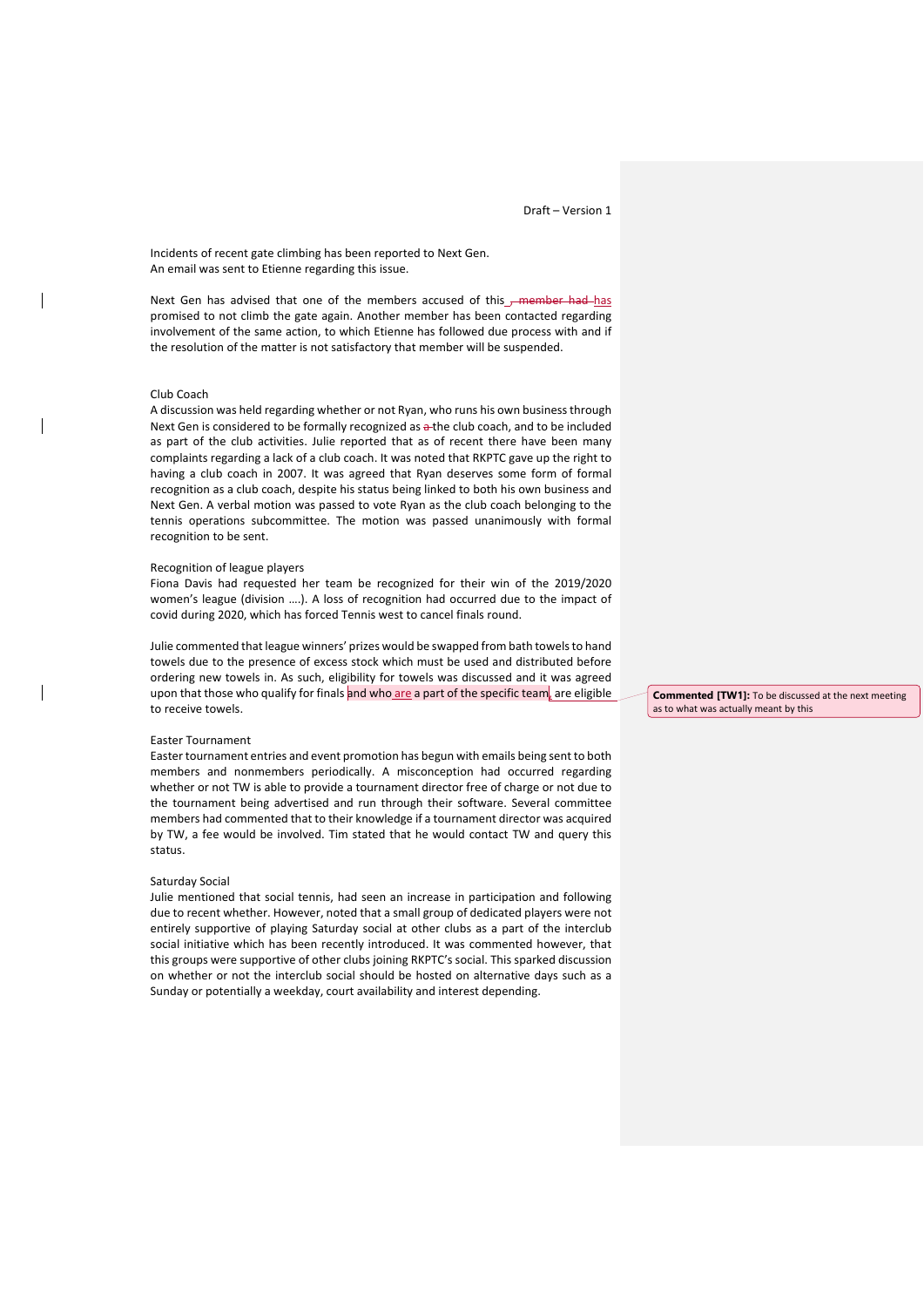Incidents of recent gate climbing has been reported to Next Gen. An email was sent to Etienne regarding this issue.

Next Gen has advised that one of the members accused of this <del>, member had h</del>as promised to not climb the gate again. Another member has been contacted regarding involvement of the same action, to which Etienne has followed due process with and if the resolution of the matter is not satisfactory that member will be suspended.

#### Club Coach

A discussion was held regarding whether or not Ryan, who runs his own business through Next Gen is considered to be formally recognized as a the club coach, and to be included as part of the club activities. Julie reported that as of recent there have been many complaints regarding a lack of a club coach. It was noted that RKPTC gave up the right to having a club coach in 2007. It was agreed that Ryan deserves some form of formal recognition as a club coach, despite his status being linked to both his own business and Next Gen. A verbal motion was passed to vote Ryan as the club coach belonging to the tennis operations subcommittee. The motion was passed unanimously with formal recognition to be sent.

#### Recognition of league players

Fiona Davis had requested her team be recognized for their win of the 2019/2020 women's league (division ….). A loss of recognition had occurred due to the impact of covid during 2020, which has forced Tennis west to cancel finals round.

Julie commented that league winners' prizes would be swapped from bath towels to hand towels due to the presence of excess stock which must be used and distributed before ordering new towels in. As such, eligibility for towels was discussed and it was agreed upon that those who qualify for finals and who are a part of the specific team, are eligible to receive towels.

## Easter Tournament

Easter tournament entries and event promotion has begun with emails being sent to both members and nonmembers periodically. A misconception had occurred regarding whether or not TW is able to provide a tournament director free of charge or not due to the tournament being advertised and run through their software. Several committee members had commented that to their knowledge if a tournament director was acquired by TW, a fee would be involved. Tim stated that he would contact TW and query this status.

#### Saturday Social

Julie mentioned that social tennis, had seen an increase in participation and following due to recent whether. However, noted that a small group of dedicated players were not entirely supportive of playing Saturday social at other clubs as a part of the interclub social initiative which has been recently introduced. It was commented however, that this groups were supportive of other clubs joining RKPTC's social. This sparked discussion on whether or not the interclub social should be hosted on alternative days such as a Sunday or potentially a weekday, court availability and interest depending.

**Commented [TW1]:** To be discussed at the next meeting as to what was actually meant by this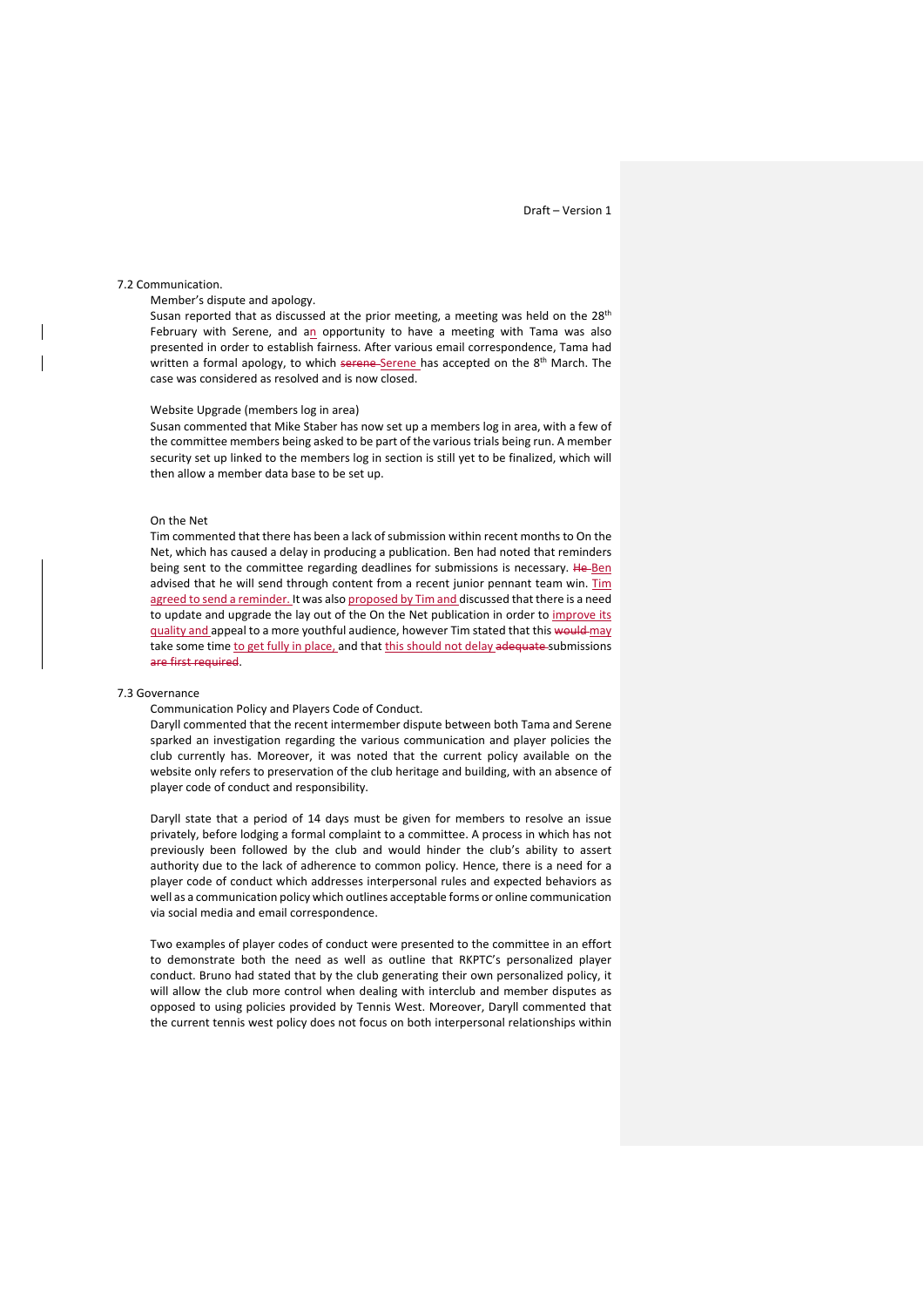### 7.2 Communication.

Member's dispute and apology.

Susan reported that as discussed at the prior meeting, a meeting was held on the 28<sup>th</sup> February with Serene, and an opportunity to have a meeting with Tama was also presented in order to establish fairness. After various email correspondence, Tama had written a formal apology, to which serene Serene has accepted on the 8<sup>th</sup> March. The case was considered as resolved and is now closed.

#### Website Upgrade (members log in area)

Susan commented that Mike Staber has now set up a members log in area, with a few of the committee members being asked to be part of the various trials being run. A member security set up linked to the members log in section is still yet to be finalized, which will then allow a member data base to be set up.

#### On the Net

Tim commented that there has been a lack of submission within recent months to On the Net, which has caused a delay in producing a publication. Ben had noted that reminders being sent to the committee regarding deadlines for submissions is necessary. He-Ben advised that he will send through content from a recent junior pennant team win. Tim agreed to send a reminder. It was also proposed by Tim and discussed that there is a need to update and upgrade the lay out of the On the Net publication in order to improve its guality and appeal to a more youthful audience, however Tim stated that this would may take some time to get fully in place, and that this should not delay adequate submissions are first required.

#### 7.3 Governance

#### Communication Policy and Players Code of Conduct.

Daryll commented that the recent intermember dispute between both Tama and Serene sparked an investigation regarding the various communication and player policies the club currently has. Moreover, it was noted that the current policy available on the website only refers to preservation of the club heritage and building, with an absence of player code of conduct and responsibility.

Daryll state that a period of 14 days must be given for members to resolve an issue privately, before lodging a formal complaint to a committee. A process in which has not previously been followed by the club and would hinder the club's ability to assert authority due to the lack of adherence to common policy. Hence, there is a need for a player code of conduct which addresses interpersonal rules and expected behaviors as well as a communication policy which outlines acceptable forms or online communication via social media and email correspondence.

Two examples of player codes of conduct were presented to the committee in an effort to demonstrate both the need as well as outline that RKPTC's personalized player conduct. Bruno had stated that by the club generating their own personalized policy, it will allow the club more control when dealing with interclub and member disputes as opposed to using policies provided by Tennis West. Moreover, Daryll commented that the current tennis west policy does not focus on both interpersonal relationships within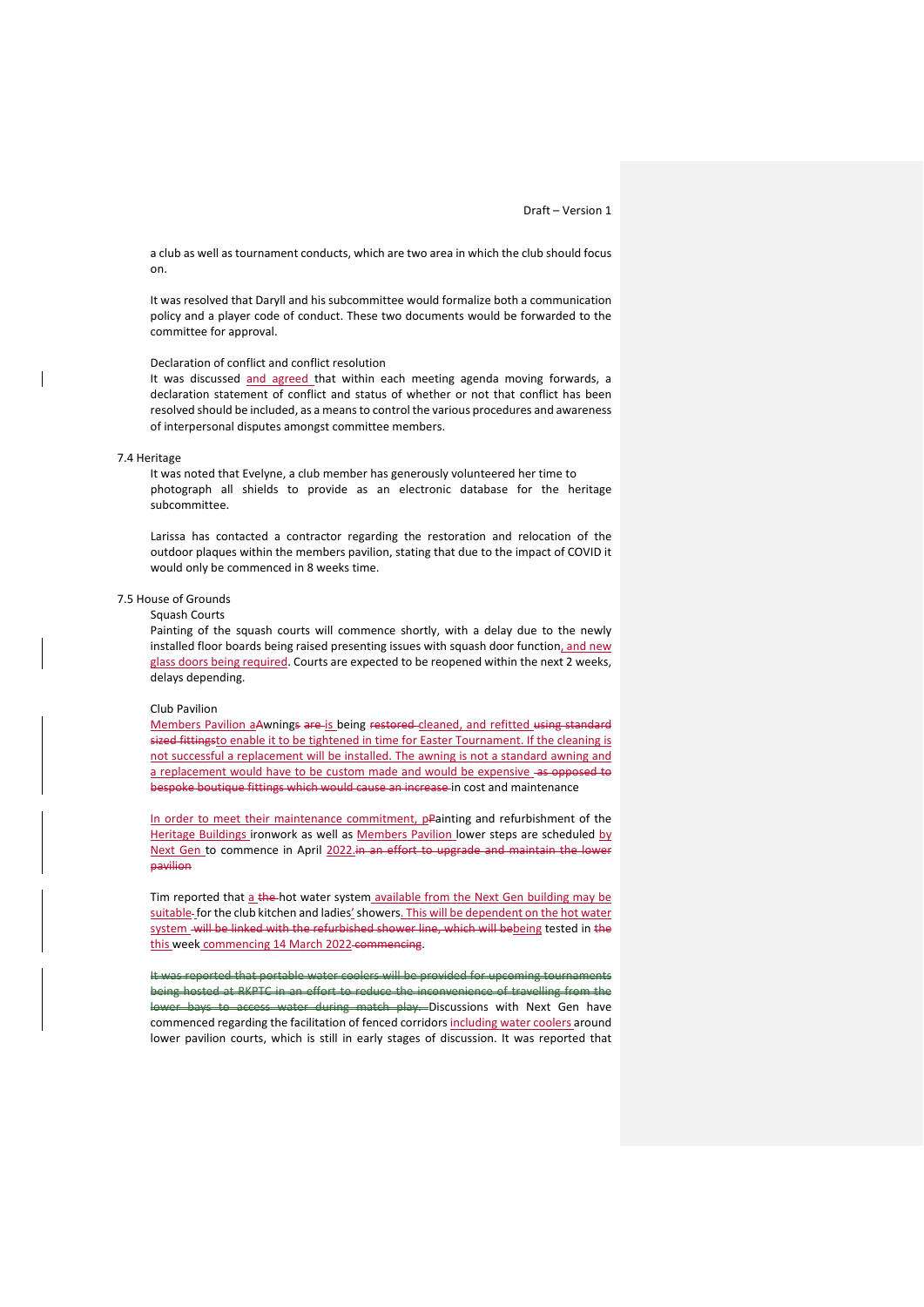a club as well as tournament conducts, which are two area in which the club should focus on.

It was resolved that Daryll and his subcommittee would formalize both a communication policy and a player code of conduct. These two documents would be forwarded to the committee for approval.

## Declaration of conflict and conflict resolution

It was discussed and agreed that within each meeting agenda moving forwards, a declaration statement of conflict and status of whether or not that conflict has been resolved should be included, as a means to control the various procedures and awareness of interpersonal disputes amongst committee members.

#### 7.4 Heritage

It was noted that Evelyne, a club member has generously volunteered her time to photograph all shields to provide as an electronic database for the heritage subcommittee.

Larissa has contacted a contractor regarding the restoration and relocation of the outdoor plaques within the members pavilion, stating that due to the impact of COVID it would only be commenced in 8 weeks time.

## 7.5 House of Grounds

#### Squash Courts

Painting of the squash courts will commence shortly, with a delay due to the newly installed floor boards being raised presenting issues with squash door function, and new glass doors being required. Courts are expected to be reopened within the next 2 weeks, delays depending.

#### Club Pavilion

Members Pavilion aAwnings are is being restored cleaned, and refitted using standard sized fittingsto enable it to be tightened in time for Easter Tournament. If the cleaning is not successful a replacement will be installed. The awning is not a standard awning and a replacement would have to be custom made and would be expensive -as opposed to bespoke boutique fittings which would cause an increase in cost and maintenance

In order to meet their maintenance commitment, pPainting and refurbishment of the Heritage Buildings ironwork as well as Members Pavilion lower steps are scheduled by Next Gen to commence in April 2022.in an effort to upgrade and maintain the lower pavilion

Tim reported that a the-hot water system available from the Next Gen building may be suitable-for the club kitchen and ladies' showers. This will be dependent on the hot water system will be linked with the refurbished shower line, which will bebeing tested in the this week commencing 14 March 2022 commencing.

It was reported that portable water coolers will be provided for upcoming tournaments being hosted at RKPTC in an effort to reduce the inconvenience of travelling from the lower bays to access water during match play. Discussions with Next Gen have commenced regarding the facilitation of fenced corridors including water coolers around lower pavilion courts, which is still in early stages of discussion. It was reported that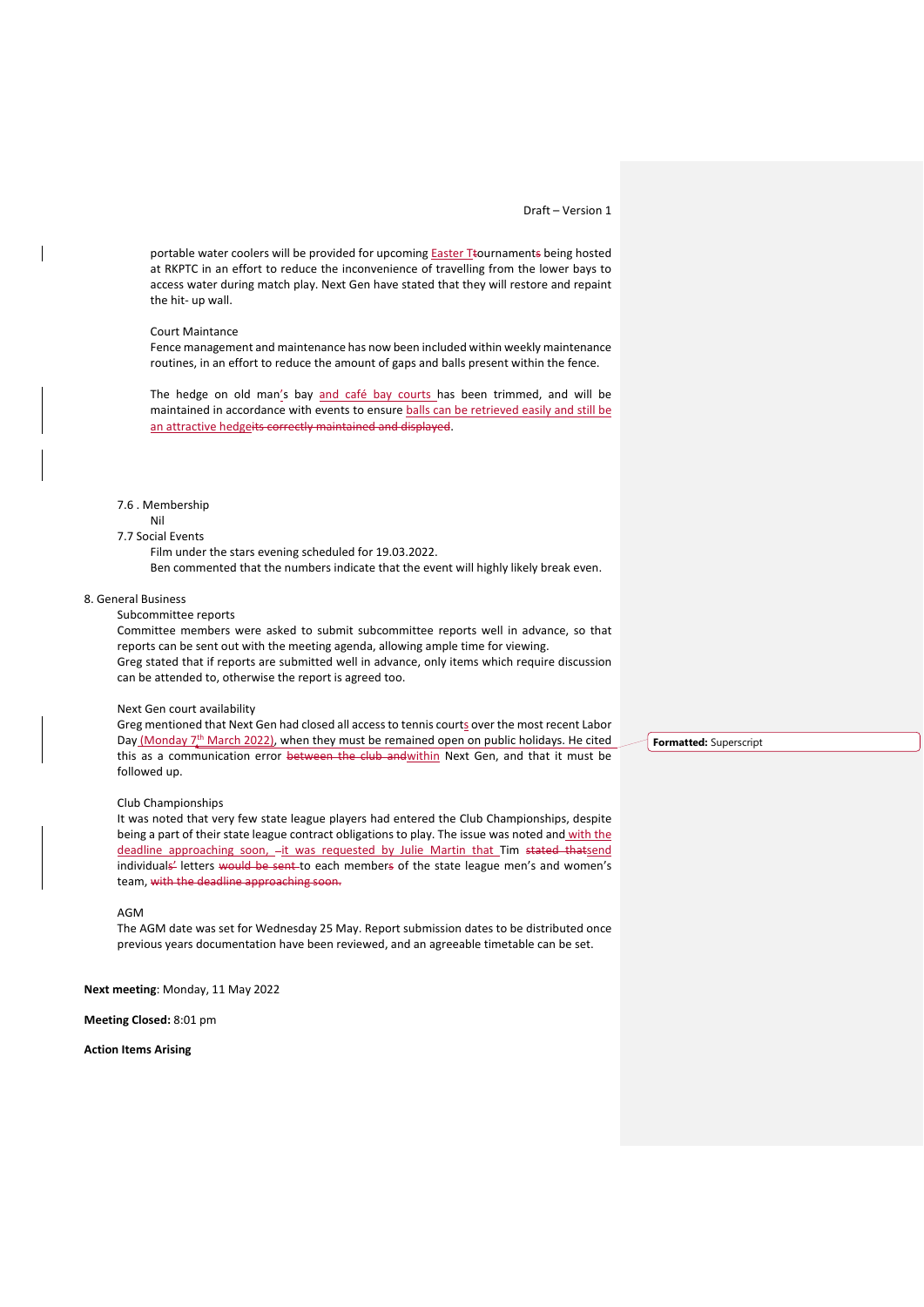portable water coolers will be provided for upcoming Easter Ttournaments being hosted at RKPTC in an effort to reduce the inconvenience of travelling from the lower bays to access water during match play. Next Gen have stated that they will restore and repaint the hit- up wall.

#### Court Maintance

Fence management and maintenance has now been included within weekly maintenance routines, in an effort to reduce the amount of gaps and balls present within the fence.

The hedge on old man's bay and café bay courts has been trimmed, and will be maintained in accordance with events to ensure balls can be retrieved easily and still be an attractive hedgeits correctly maintained and displayed.

## 7.6 . Membership

## Nil

# 7.7 Social Events

Film under the stars evening scheduled for 19.03.2022.

Ben commented that the numbers indicate that the event will highly likely break even.

#### 8. General Business

#### Subcommittee reports

Committee members were asked to submit subcommittee reports well in advance, so that reports can be sent out with the meeting agenda, allowing ample time for viewing. Greg stated that if reports are submitted well in advance, only items which require discussion can be attended to, otherwise the report is agreed too.

#### Next Gen court availability

Greg mentioned that Next Gen had closed all access to tennis courts over the most recent Labor Day (Monday  $7<sup>th</sup>$  March 2022), when they must be remained open on public holidays. He cited this as a communication error between the club andwithin Next Gen, and that it must be followed up.

#### Club Championships

It was noted that very few state league players had entered the Club Championships, despite being a part of their state league contract obligations to play. The issue was noted and with the deadline approaching soon, -it was requested by Julie Martin that Tim stated thatsend individuals' letters would be sent-to each members of the state league men's and women's team, with the deadline approaching soon.

#### AGM

The AGM date was set for Wednesday 25 May. Report submission dates to be distributed once previous years documentation have been reviewed, and an agreeable timetable can be set.

**Next meeting**: Monday, 11 May 2022

#### **Meeting Closed:** 8:01 pm

### **Action Items Arising**

**Formatted:** Superscript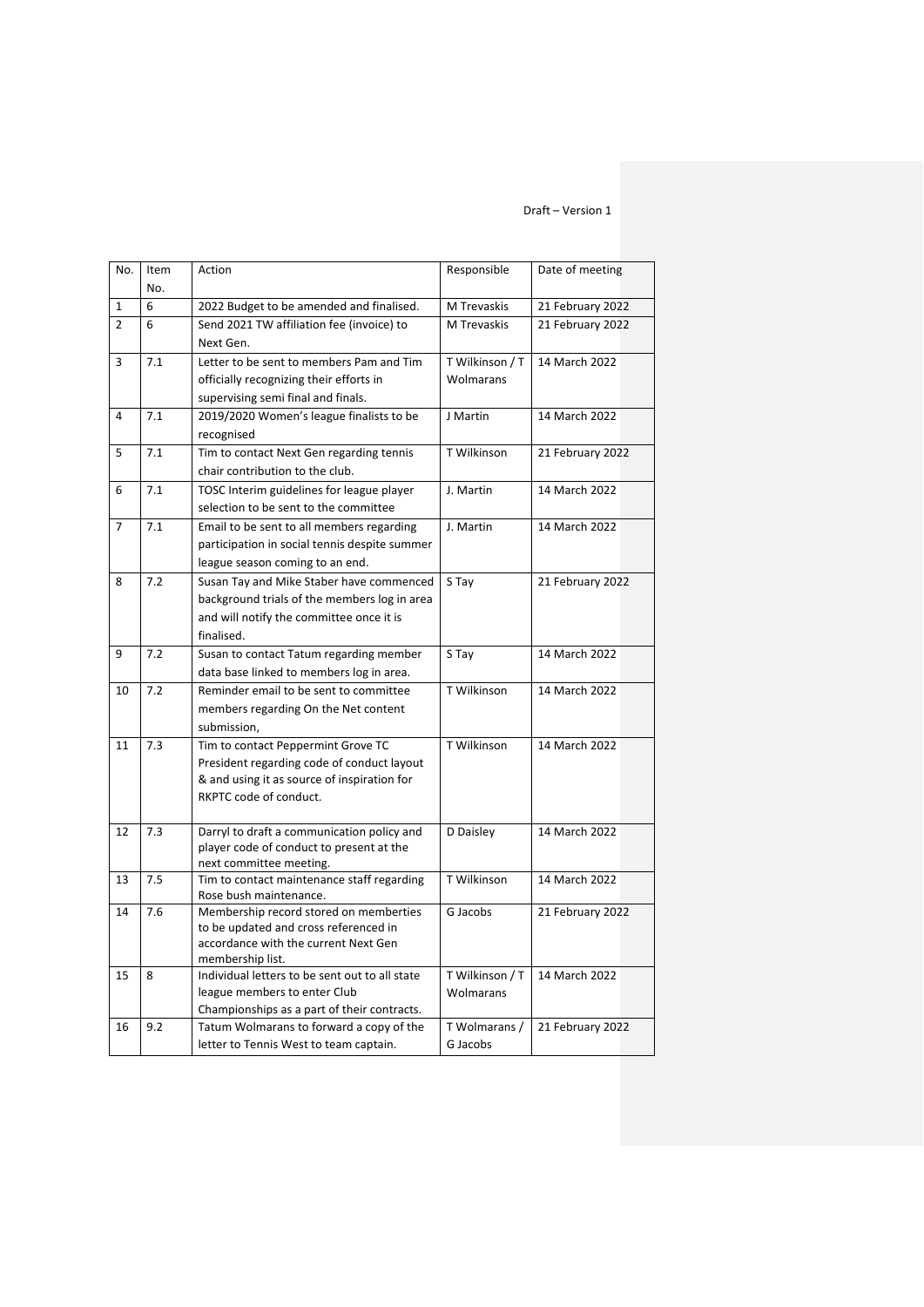| No.            | Item<br>No. | Action                                                                        | Responsible     | Date of meeting  |
|----------------|-------------|-------------------------------------------------------------------------------|-----------------|------------------|
| 1              | 6           | 2022 Budget to be amended and finalised.                                      | M Trevaskis     | 21 February 2022 |
| 2              | 6           | Send 2021 TW affiliation fee (invoice) to<br>Next Gen.                        | M Trevaskis     | 21 February 2022 |
| 3              | 7.1         | Letter to be sent to members Pam and Tim                                      | T Wilkinson / T | 14 March 2022    |
|                |             | officially recognizing their efforts in                                       | Wolmarans       |                  |
|                |             | supervising semi final and finals.                                            |                 |                  |
| 4              | 7.1         | 2019/2020 Women's league finalists to be                                      | J Martin        | 14 March 2022    |
|                |             | recognised                                                                    |                 |                  |
| 5              | 7.1         | Tim to contact Next Gen regarding tennis                                      | T Wilkinson     | 21 February 2022 |
|                |             | chair contribution to the club.                                               |                 |                  |
| 6              | 7.1         | TOSC Interim guidelines for league player                                     | J. Martin       | 14 March 2022    |
|                |             | selection to be sent to the committee                                         |                 |                  |
| $\overline{7}$ | 7.1         | Email to be sent to all members regarding                                     | J. Martin       | 14 March 2022    |
|                |             | participation in social tennis despite summer                                 |                 |                  |
|                |             | league season coming to an end.                                               |                 |                  |
| 8              | 7.2         | Susan Tay and Mike Staber have commenced                                      | S Tay           | 21 February 2022 |
|                |             | background trials of the members log in area                                  |                 |                  |
|                |             | and will notify the committee once it is                                      |                 |                  |
|                |             | finalised.                                                                    |                 |                  |
| 9              | 7.2         | Susan to contact Tatum regarding member                                       | S Tay           | 14 March 2022    |
|                |             | data base linked to members log in area.                                      |                 |                  |
| 10             | 7.2         | Reminder email to be sent to committee                                        | T Wilkinson     | 14 March 2022    |
|                |             | members regarding On the Net content                                          |                 |                  |
|                |             | submission,                                                                   |                 |                  |
| 11             | 7.3         | Tim to contact Peppermint Grove TC                                            | T Wilkinson     | 14 March 2022    |
|                |             | President regarding code of conduct layout                                    |                 |                  |
|                |             | & and using it as source of inspiration for<br>RKPTC code of conduct.         |                 |                  |
|                |             |                                                                               |                 |                  |
| 12             | 7.3         | Darryl to draft a communication policy and                                    | D Daisley       | 14 March 2022    |
|                |             | player code of conduct to present at the                                      |                 |                  |
|                |             | next committee meeting.                                                       |                 |                  |
| 13             | 7.5         | Tim to contact maintenance staff regarding                                    | T Wilkinson     | 14 March 2022    |
|                |             | Rose bush maintenance.                                                        |                 |                  |
| 14             | 7.6         | Membership record stored on memberties                                        | G Jacobs        | 21 February 2022 |
|                |             | to be updated and cross referenced in<br>accordance with the current Next Gen |                 |                  |
|                |             | membership list.                                                              |                 |                  |
| 15             | 8           | Individual letters to be sent out to all state                                | T Wilkinson / T | 14 March 2022    |
|                |             | league members to enter Club                                                  | Wolmarans       |                  |
|                |             | Championships as a part of their contracts.                                   |                 |                  |
| 16             | 9.2         | Tatum Wolmarans to forward a copy of the                                      | T Wolmarans /   | 21 February 2022 |
|                |             | letter to Tennis West to team captain.                                        | G Jacobs        |                  |